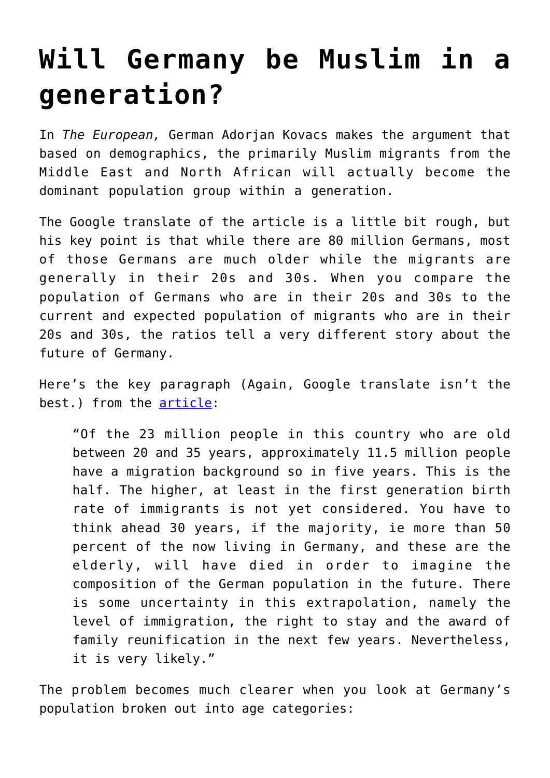## **[Will Germany be Muslim in a](https://intellectualtakeout.org/2016/01/will-germany-be-muslim-in-a-generation/) [generation?](https://intellectualtakeout.org/2016/01/will-germany-be-muslim-in-a-generation/)**

In *The European,* German Adorjan Kovacs makes the argument that based on demographics, the primarily Muslim migrants from the Middle East and North African will actually become the dominant population group within a generation.

The Google translate of the article is a little bit rough, but his key point is that while there are 80 million Germans, most of those Germans are much older while the migrants are generally in their 20s and 30s. When you compare the population of Germans who are in their 20s and 30s to the current and expected population of migrants who are in their 20s and 30s, the ratios tell a very different story about the future of Germany.

Here's the key paragraph (Again, Google translate isn't the best.) from the [article](http://www.theeuropean.de/adorjan-f-kovacs/10622-einwanderung-oder-zuflucht):

"Of the 23 million people in this country who are old between 20 and 35 years, approximately 11.5 million people have a migration background so in five years. This is the half. The higher, at least in the first generation birth rate of immigrants is not yet considered. You have to think ahead 30 years, if the majority, ie more than 50 percent of the now living in Germany, and these are the elderly, will have died in order to imagine the composition of the German population in the future. There is some uncertainty in this extrapolation, namely the level of immigration, the right to stay and the award of family reunification in the next few years. Nevertheless, it is very likely."

The problem becomes much clearer when you look at Germany's population broken out into age categories: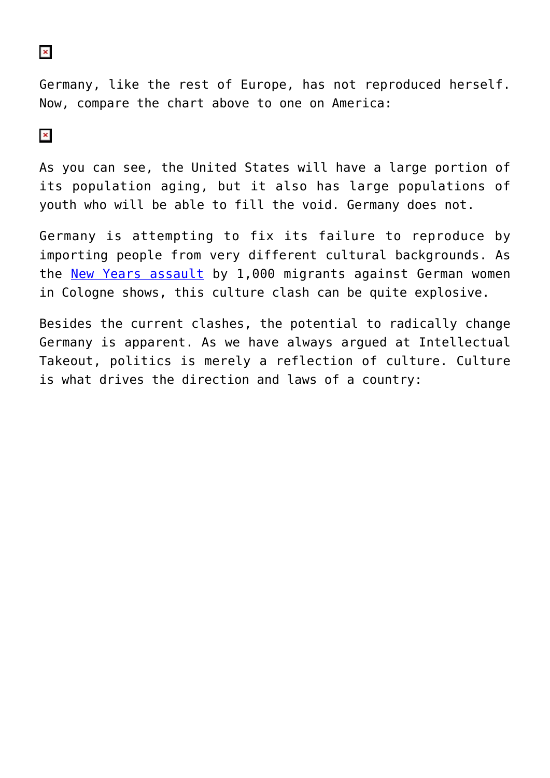## $\pmb{\times}$

Germany, like the rest of Europe, has not reproduced herself. Now, compare the chart above to one on America:

## $\pmb{\times}$

As you can see, the United States will have a large portion of its population aging, but it also has large populations of youth who will be able to fill the void. Germany does not.

Germany is attempting to fix its failure to reproduce by importing people from very different cultural backgrounds. As the [New Years assault](https://www.intellectualtakeout.org/blog/let%E2%80%99s-be-honest-about-cologne-assaults) by 1,000 migrants against German women in Cologne shows, this culture clash can be quite explosive.

Besides the current clashes, the potential to radically change Germany is apparent. As we have always argued at Intellectual Takeout, politics is merely a reflection of culture. Culture is what drives the direction and laws of a country: